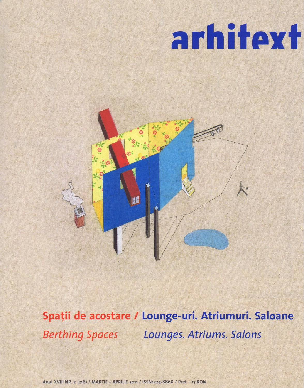## arhitext

## Spații de acostare / Lounge-uri. Atriumuri. Saloane Berthing Spaces Lounges. Atriums. Salons

Anul XVIII NR. 2 (216) / MARTIE - APRILIE 2011 / ISSN1224-886X / Pret - 17 RON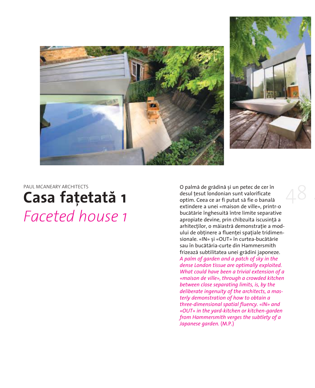



PAUL MCANEARY ARCHITECTS

## **Casa fațetată 1** *faceted house 1*

O palmă de grădină și un petec de cer în desul tesut londonian sunt valorificate optim. Ceea ce ar fi putut să fie o banală extindere a unei «maison de ville», printr-o bucătărie înghesuită între limite separative apropiate devine, prin chibzuita iscusință a arhitecților, o măiastră demonstrație a modului de obținere a fluenței spațiale tridimensionale. «IN» și «OUT» în curtea-bucătărie sau în bucătăria-curte din Hammersmith frizează subtilitatea unei grădini japoneze. *A palm of garden and a patch of sky in the dense London tissue are optimally exploited. What could have been a trivial extension of a «maison de ville», through a crowded kitchen between close separating limits, is, by the deliberate ingenuity of the architects, a masterly demonstration of how to obtain a three-dimensional spatial fluency. «IN» and «OUT» in the yard-kitchen or kitchen-garden from Hammersmith verges the subtlety of a Japanese garden.* (M.P.) 4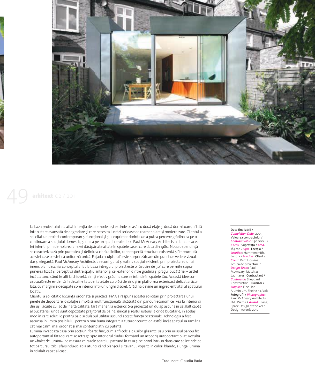

## arhitext 02 / 2011

La baza proiectului s-a aflat intenția de a remodela și extinde o casă cu două etaje și două dormitoare, aflată într-o stare avansată de degradare și care necesita lucrări serioase de reamenajare și modernizare. Clientul a solicitat un proiect contemporan si functional si si-a exprimat dorinta de a putea percepe grădina ca pe o continuare a spațiului domestic, și nu ca pe un spațiu «exterior». Paul McAneary Architects a dat curs acestei intenții prin demolarea anexei dărăpănate aflate în spatele casei, care data din 1980. Noua dependință se caracterizează prin puritatea și definirea clară a liniilor, care respectă structura existentă și împrumută acestei case o estetică uniformă unică. Fațada sculpturală este surprinzătoare din punct de vedere vizual, dar și elegantă. Paul McAneary Architects a reconfigurat și extins spațiul existent, prin proiectarea unui imens plan deschis: conceptul aflat la baza întregului proiect este o răsucire de 30° care permite suprapunerea fizică și perceptivă dintre spațiul interior și cel exterior, dintre grădină și pragul bucătăriei – astfel încât, atunci când te afli la chiuvetă, simți efectiv grădina care se întinde în spatele tău. Această idee conceptuală este evidentă în detaliile fațadei fațetate cu plăci de zinc și în platforma exterioară delicat articulată, cu marginile decupate spre interior într-un unghi discret. Grădina devine un ingredient vital al spațiului locativ.

Clientul a solicitat o locuintă ordonată și practică. PMA a răspuns acestei solicitări prin proiectarea unui perete de depozitare; o soluție simplă și multifuncțională, alcătuită din panouri economice Ikea la interior și din uși lăcuite cu lac de înaltă calitate, fără mâner, la exterior. S-a proiectat un dulap ascuns în celălalt capăt al bucătăriei, unde sunt depozitate prăjitorul de pâine, ibricul și restul ustensilelor de bucătărie, în același mod în care soluțiile pentru baie și dulapul utilitar ascund aceste funcții ocazionale. Tehnologia a fost ascunsă în limita posibilului pentru o mai bună integrare a tuturor cerințelor, astfel încât spațiul să rămână cât mai calm, mai ordonat și mai contemplativ cu putință.

Lumina invadează casa prin secțiuni foarte fine, cum ar fi cele ale ușilor glisante, sau prin uriașul panou fix autoportant al fațadei care se retrage spre interiorul clădirii formând un acoperiș autoportant pliat. Rezultă un «balet de lumini», pe măsură ce razele soarelui pătrund în casă și se prind într-un dans care se întinde pe tot parcursul zilei, sfârșindu-se abia atunci când planșeul și tavanul, vopsite în culori blânde, alungă lumina în celălalt capăt al casei.

Data finalizării / *Completion Date*: 2009 Valoarea contractului / *Contract Value*: 140 000 £ / *£ 140k* Suprafa]a / *Area*: 185 mp / sam Locatia / Location: Hammersmith, Londra / *London* Client / *Client*: Kent Hoskins Echipa de proiectare / *Design Team*: Paul McAneary, Matthias Laumayer Contractant / *Contractor*: Sheppard construction Furnizor / *Supplier*: Fine Line Aluminium, Rheinzink, Vola Fotografii / *Photographer*: Paul McAneary Architects Ltd Premii / *Award*: Living Space Design of the Year, Design Awards 2010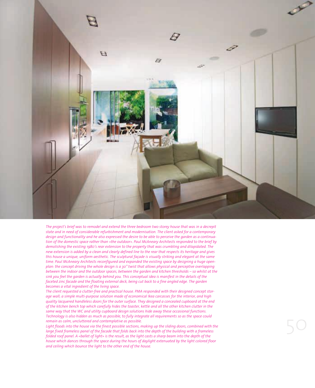

*The project's brief was to remodel and extend the three bedroom two storey house that was in a decrepit state and in need of considerable refurbishment and modernisation. The client asked for a contemporary design and functionality and he also expressed the desire to be able to perceive the garden as a continuation of the domestic space rather than «the outdoor». Paul McAneary Architects responded to the brief by demolishing the existing 1980's rear extension to the property that was crumbling and dilapidated. The new extension is added by a clean and clearly defined line to the rear that respects its heritage and gives this house a unique, uniform aesthetic. The sculptural façade is visually striking and elegant at the same time. Paul McAneary Architects reconfigured and expanded the existing space by designing a huge openplan: the concept driving the whole design is a 30° twist that allows physical and perceptive overlapping between the indoor and the outdoor spaces, between the garden and kitchen thresholds – so whilst at the sink you feel the garden is actually behind you. This conceptual idea is manifest in the details of the faceted zinc facade and the floating external deck, being cut back to a fine angled edge. The garden becomes a vital ingredient of the living space.* 

*The client requested a clutter-free and practical house. PMA responded with their designed concept storage wall; a simple multi-purpose solution made of economical Ikea carcasses for the interior, and high quality lacquered handleless doors for the outer surface. They designed a concealed cupboard at the end of the kitchen bench top which carefully hides the toaster, kettle and all the other kitchen clutter in the same way that the WC and utility cupboard design solutions hide away these occasional functions. Technology is also hidden as much as possible, to fully integrate all requirements so as the space could remain as calm, uncluttered and contemplative as possible.*

*Light floods into the house via the finest possible sections, making up the sliding doors, combined with the large fixed frameless panel of the facade that folds back into the depth of the building with a frameless folded roof panel. A «ballet of light» is the result, as the light casts a sharp beam into the depth of the house which dances through the space during the hours of daylight extenuated by the light colored floor and ceiling which bounce the light to the other end of the house.*

50